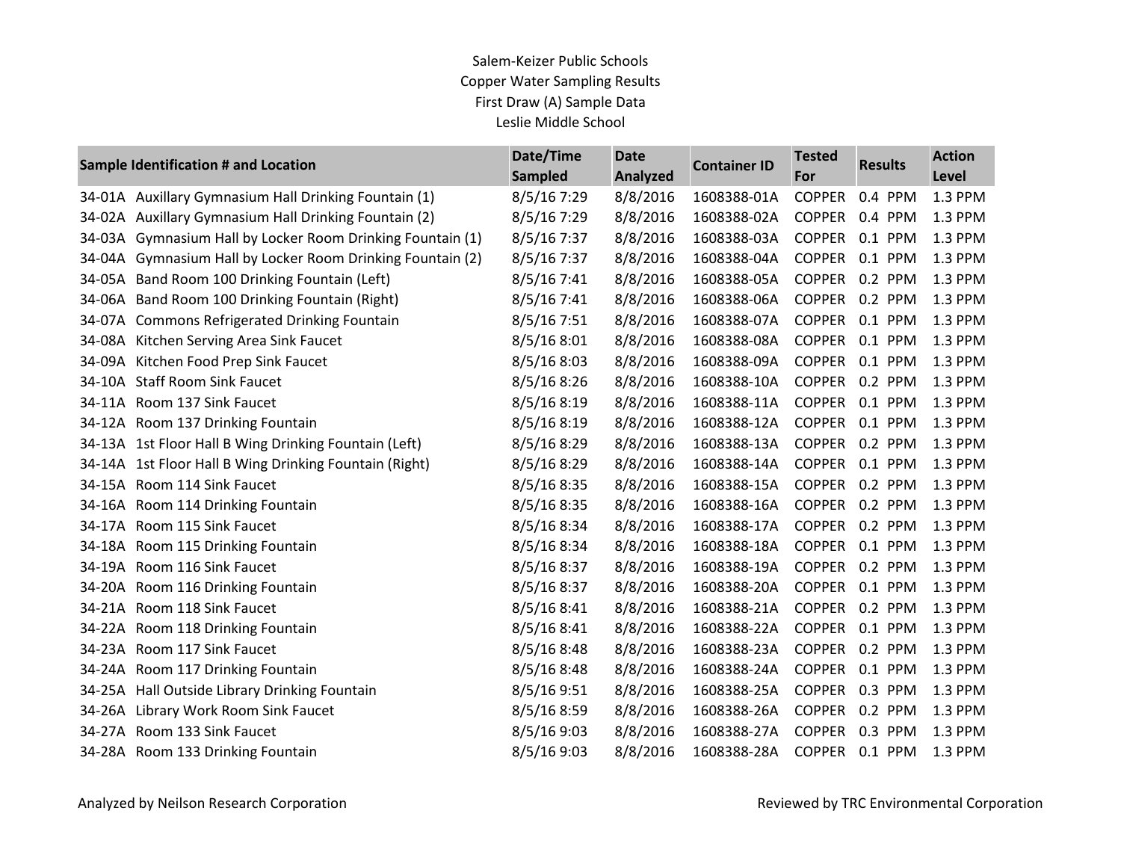| Sample Identification # and Location |                                                       | Date/Time<br><b>Sampled</b> | <b>Date</b><br><b>Analyzed</b> | <b>Container ID</b> | <b>Tested</b><br>For | <b>Results</b> | <b>Action</b><br>Level |
|--------------------------------------|-------------------------------------------------------|-----------------------------|--------------------------------|---------------------|----------------------|----------------|------------------------|
|                                      | 34-01A Auxillary Gymnasium Hall Drinking Fountain (1) | 8/5/167:29                  | 8/8/2016                       | 1608388-01A         | <b>COPPER</b>        | 0.4 PPM        | 1.3 PPM                |
| 34-02A                               | Auxillary Gymnasium Hall Drinking Fountain (2)        | 8/5/16 7:29                 | 8/8/2016                       | 1608388-02A         | <b>COPPER</b>        | 0.4 PPM        | 1.3 PPM                |
| 34-03A                               | Gymnasium Hall by Locker Room Drinking Fountain (1)   | 8/5/167:37                  | 8/8/2016                       | 1608388-03A         | <b>COPPER</b>        | 0.1 PPM        | 1.3 PPM                |
| 34-04A                               | Gymnasium Hall by Locker Room Drinking Fountain (2)   | 8/5/167:37                  | 8/8/2016                       | 1608388-04A         | <b>COPPER</b>        | 0.1 PPM        | 1.3 PPM                |
| 34-05A                               | Band Room 100 Drinking Fountain (Left)                | 8/5/16 7:41                 | 8/8/2016                       | 1608388-05A         | <b>COPPER</b>        | 0.2 PPM        | 1.3 PPM                |
| 34-06A                               | Band Room 100 Drinking Fountain (Right)               | 8/5/167:41                  | 8/8/2016                       | 1608388-06A         | <b>COPPER</b>        | 0.2 PPM        | 1.3 PPM                |
|                                      | 34-07A Commons Refrigerated Drinking Fountain         | 8/5/167:51                  | 8/8/2016                       | 1608388-07A         | <b>COPPER</b>        | 0.1 PPM        | 1.3 PPM                |
|                                      | 34-08A Kitchen Serving Area Sink Faucet               | 8/5/168:01                  | 8/8/2016                       | 1608388-08A         | <b>COPPER</b>        | 0.1 PPM        | 1.3 PPM                |
|                                      | 34-09A Kitchen Food Prep Sink Faucet                  | 8/5/168:03                  | 8/8/2016                       | 1608388-09A         | <b>COPPER</b>        | 0.1 PPM        | 1.3 PPM                |
| 34-10A                               | <b>Staff Room Sink Faucet</b>                         | 8/5/168:26                  | 8/8/2016                       | 1608388-10A         | <b>COPPER</b>        | 0.2 PPM        | 1.3 PPM                |
|                                      | 34-11A Room 137 Sink Faucet                           | 8/5/168:19                  | 8/8/2016                       | 1608388-11A         | <b>COPPER</b>        | 0.1 PPM        | 1.3 PPM                |
|                                      | 34-12A Room 137 Drinking Fountain                     | 8/5/168:19                  | 8/8/2016                       | 1608388-12A         | <b>COPPER</b>        | 0.1 PPM        | 1.3 PPM                |
|                                      | 34-13A 1st Floor Hall B Wing Drinking Fountain (Left) | 8/5/16 8:29                 | 8/8/2016                       | 1608388-13A         | <b>COPPER</b>        | 0.2 PPM        | 1.3 PPM                |
| 34-14A                               | 1st Floor Hall B Wing Drinking Fountain (Right)       | 8/5/16 8:29                 | 8/8/2016                       | 1608388-14A         | <b>COPPER</b>        | 0.1 PPM        | 1.3 PPM                |
|                                      | 34-15A Room 114 Sink Faucet                           | 8/5/168:35                  | 8/8/2016                       | 1608388-15A         | <b>COPPER</b>        | 0.2 PPM        | 1.3 PPM                |
| 34-16A                               | Room 114 Drinking Fountain                            | 8/5/16 8:35                 | 8/8/2016                       | 1608388-16A         | <b>COPPER</b>        | 0.2 PPM        | 1.3 PPM                |
|                                      | 34-17A Room 115 Sink Faucet                           | 8/5/16 8:34                 | 8/8/2016                       | 1608388-17A         | <b>COPPER</b>        | 0.2 PPM        | 1.3 PPM                |
|                                      | 34-18A Room 115 Drinking Fountain                     | 8/5/16 8:34                 | 8/8/2016                       | 1608388-18A         | <b>COPPER</b>        | 0.1 PPM        | 1.3 PPM                |
|                                      | 34-19A Room 116 Sink Faucet                           | 8/5/16 8:37                 | 8/8/2016                       | 1608388-19A         | <b>COPPER</b>        | 0.2 PPM        | 1.3 PPM                |
| 34-20A                               | Room 116 Drinking Fountain                            | 8/5/168:37                  | 8/8/2016                       | 1608388-20A         | <b>COPPER</b>        | 0.1 PPM        | 1.3 PPM                |
|                                      | 34-21A Room 118 Sink Faucet                           | 8/5/168:41                  | 8/8/2016                       | 1608388-21A         | <b>COPPER</b>        | 0.2 PPM        | 1.3 PPM                |
|                                      | 34-22A Room 118 Drinking Fountain                     | 8/5/168:41                  | 8/8/2016                       | 1608388-22A         | <b>COPPER</b>        | 0.1 PPM        | 1.3 PPM                |
| 34-23A                               | Room 117 Sink Faucet                                  | 8/5/168:48                  | 8/8/2016                       | 1608388-23A         | <b>COPPER</b>        | 0.2 PPM        | 1.3 PPM                |
| 34-24A                               | Room 117 Drinking Fountain                            | 8/5/168:48                  | 8/8/2016                       | 1608388-24A         | <b>COPPER</b>        | 0.1 PPM        | 1.3 PPM                |
|                                      | 34-25A Hall Outside Library Drinking Fountain         | 8/5/16 9:51                 | 8/8/2016                       | 1608388-25A         | <b>COPPER</b>        | 0.3 PPM        | 1.3 PPM                |
| 34-26A                               | Library Work Room Sink Faucet                         | 8/5/16 8:59                 | 8/8/2016                       | 1608388-26A         | <b>COPPER</b>        | 0.2 PPM        | 1.3 PPM                |
| 34-27A                               | Room 133 Sink Faucet                                  | 8/5/16 9:03                 | 8/8/2016                       | 1608388-27A         | <b>COPPER</b>        | 0.3 PPM        | 1.3 PPM                |
|                                      | 34-28A Room 133 Drinking Fountain                     | 8/5/16 9:03                 | 8/8/2016                       | 1608388-28A         | <b>COPPER</b>        | 0.1 PPM        | 1.3 PPM                |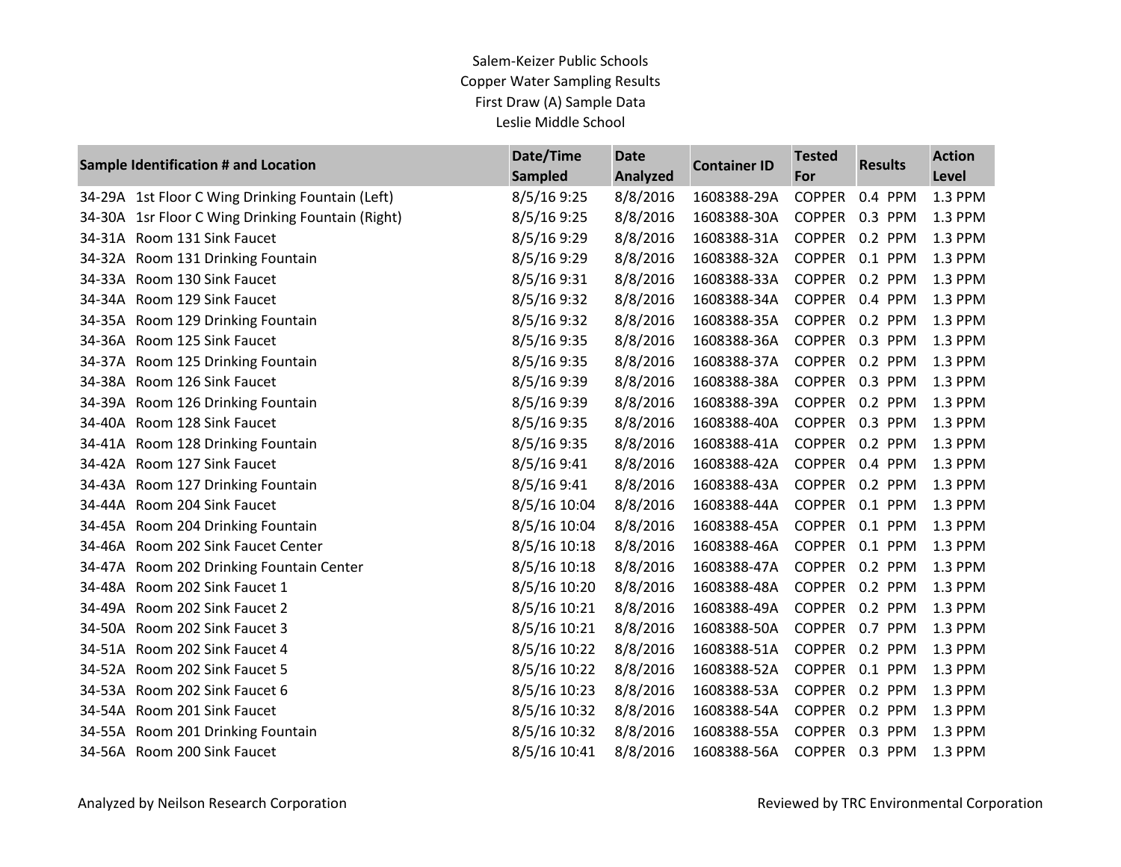|        | Sample Identification # and Location             | Date/Time<br><b>Sampled</b> | <b>Date</b><br><b>Analyzed</b> | <b>Container ID</b> | <b>Tested</b><br>For | <b>Results</b> | <b>Action</b><br>Level |
|--------|--------------------------------------------------|-----------------------------|--------------------------------|---------------------|----------------------|----------------|------------------------|
|        | 34-29A 1st Floor C Wing Drinking Fountain (Left) | 8/5/169:25                  | 8/8/2016                       | 1608388-29A         | <b>COPPER</b>        | 0.4 PPM        | 1.3 PPM                |
| 34-30A | 1sr Floor C Wing Drinking Fountain (Right)       | 8/5/169:25                  | 8/8/2016                       | 1608388-30A         | <b>COPPER</b>        | 0.3 PPM        | 1.3 PPM                |
|        | 34-31A Room 131 Sink Faucet                      | 8/5/16 9:29                 | 8/8/2016                       | 1608388-31A         | <b>COPPER</b>        | 0.2 PPM        | 1.3 PPM                |
|        | 34-32A Room 131 Drinking Fountain                | 8/5/16 9:29                 | 8/8/2016                       | 1608388-32A         | <b>COPPER</b>        | 0.1 PPM        | 1.3 PPM                |
|        | 34-33A Room 130 Sink Faucet                      | 8/5/16 9:31                 | 8/8/2016                       | 1608388-33A         | <b>COPPER</b>        | 0.2 PPM        | 1.3 PPM                |
| 34-34A | Room 129 Sink Faucet                             | 8/5/16 9:32                 | 8/8/2016                       | 1608388-34A         | <b>COPPER</b>        | 0.4 PPM        | 1.3 PPM                |
|        | 34-35A Room 129 Drinking Fountain                | 8/5/16 9:32                 | 8/8/2016                       | 1608388-35A         | <b>COPPER</b>        | 0.2 PPM        | 1.3 PPM                |
| 34-36A | Room 125 Sink Faucet                             | 8/5/16 9:35                 | 8/8/2016                       | 1608388-36A         | <b>COPPER</b>        | 0.3 PPM        | 1.3 PPM                |
| 34-37A | Room 125 Drinking Fountain                       | 8/5/16 9:35                 | 8/8/2016                       | 1608388-37A         | <b>COPPER</b>        | 0.2 PPM        | 1.3 PPM                |
| 34-38A | Room 126 Sink Faucet                             | 8/5/16 9:39                 | 8/8/2016                       | 1608388-38A         | <b>COPPER</b>        | 0.3 PPM        | 1.3 PPM                |
| 34-39A | Room 126 Drinking Fountain                       | 8/5/16 9:39                 | 8/8/2016                       | 1608388-39A         | <b>COPPER</b>        | 0.2 PPM        | 1.3 PPM                |
| 34-40A | Room 128 Sink Faucet                             | 8/5/16 9:35                 | 8/8/2016                       | 1608388-40A         | <b>COPPER</b>        | 0.3 PPM        | 1.3 PPM                |
| 34-41A | Room 128 Drinking Fountain                       | 8/5/16 9:35                 | 8/8/2016                       | 1608388-41A         | <b>COPPER</b>        | 0.2 PPM        | 1.3 PPM                |
| 34-42A | Room 127 Sink Faucet                             | 8/5/16 9:41                 | 8/8/2016                       | 1608388-42A         | <b>COPPER</b>        | 0.4 PPM        | 1.3 PPM                |
| 34-43A | Room 127 Drinking Fountain                       | 8/5/16 9:41                 | 8/8/2016                       | 1608388-43A         | <b>COPPER</b>        | 0.2 PPM        | 1.3 PPM                |
| 34-44A | Room 204 Sink Faucet                             | 8/5/16 10:04                | 8/8/2016                       | 1608388-44A         | <b>COPPER</b>        | 0.1 PPM        | 1.3 PPM                |
| 34-45A | Room 204 Drinking Fountain                       | 8/5/16 10:04                | 8/8/2016                       | 1608388-45A         | <b>COPPER</b>        | 0.1 PPM        | 1.3 PPM                |
| 34-46A | Room 202 Sink Faucet Center                      | 8/5/16 10:18                | 8/8/2016                       | 1608388-46A         | <b>COPPER</b>        | 0.1 PPM        | 1.3 PPM                |
| 34-47A | Room 202 Drinking Fountain Center                | 8/5/16 10:18                | 8/8/2016                       | 1608388-47A         | <b>COPPER</b>        | 0.2 PPM        | 1.3 PPM                |
| 34-48A | Room 202 Sink Faucet 1                           | 8/5/16 10:20                | 8/8/2016                       | 1608388-48A         | <b>COPPER</b>        | 0.2 PPM        | 1.3 PPM                |
| 34-49A | Room 202 Sink Faucet 2                           | 8/5/16 10:21                | 8/8/2016                       | 1608388-49A         | <b>COPPER</b>        | 0.2 PPM        | 1.3 PPM                |
| 34-50A | Room 202 Sink Faucet 3                           | 8/5/16 10:21                | 8/8/2016                       | 1608388-50A         | <b>COPPER</b>        | 0.7 PPM        | 1.3 PPM                |
| 34-51A | Room 202 Sink Faucet 4                           | 8/5/16 10:22                | 8/8/2016                       | 1608388-51A         | <b>COPPER</b>        | 0.2 PPM        | 1.3 PPM                |
| 34-52A | Room 202 Sink Faucet 5                           | 8/5/16 10:22                | 8/8/2016                       | 1608388-52A         | <b>COPPER</b>        | 0.1 PPM        | 1.3 PPM                |
| 34-53A | Room 202 Sink Faucet 6                           | 8/5/16 10:23                | 8/8/2016                       | 1608388-53A         | <b>COPPER</b>        | 0.2 PPM        | 1.3 PPM                |
| 34-54A | Room 201 Sink Faucet                             | 8/5/16 10:32                | 8/8/2016                       | 1608388-54A         | <b>COPPER</b>        | 0.2 PPM        | 1.3 PPM                |
| 34-55A | Room 201 Drinking Fountain                       | 8/5/16 10:32                | 8/8/2016                       | 1608388-55A         | <b>COPPER</b>        | 0.3 PPM        | 1.3 PPM                |
|        | 34-56A Room 200 Sink Faucet                      | 8/5/16 10:41                | 8/8/2016                       | 1608388-56A         | <b>COPPER</b>        | 0.3 PPM        | 1.3 PPM                |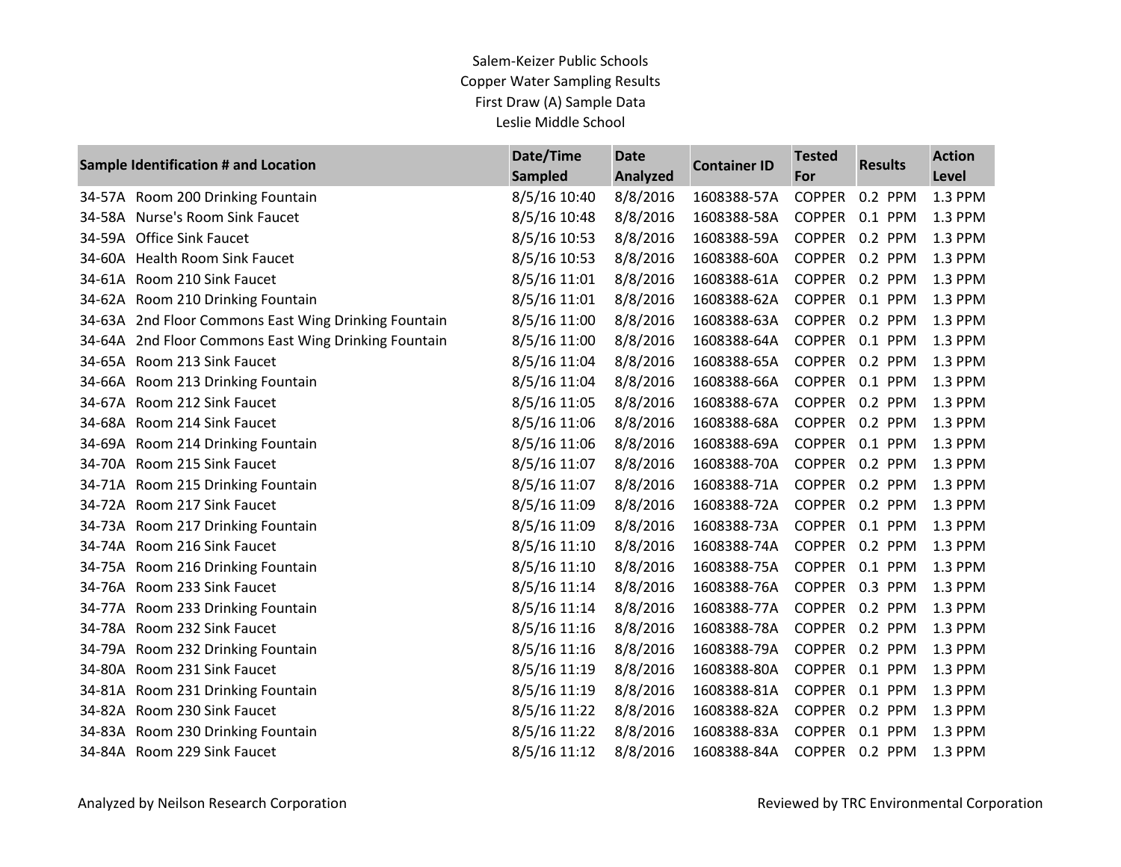|        | Sample Identification # and Location                 | Date/Time<br><b>Sampled</b> | <b>Date</b><br><b>Analyzed</b> | <b>Container ID</b> | <b>Tested</b><br>For | <b>Results</b> | <b>Action</b><br>Level |
|--------|------------------------------------------------------|-----------------------------|--------------------------------|---------------------|----------------------|----------------|------------------------|
|        | 34-57A Room 200 Drinking Fountain                    | 8/5/16 10:40                | 8/8/2016                       | 1608388-57A         | <b>COPPER</b>        | 0.2 PPM        | 1.3 PPM                |
| 34-58A | Nurse's Room Sink Faucet                             | 8/5/16 10:48                | 8/8/2016                       | 1608388-58A         | <b>COPPER</b>        | 0.1 PPM        | 1.3 PPM                |
| 34-59A | <b>Office Sink Faucet</b>                            | 8/5/16 10:53                | 8/8/2016                       | 1608388-59A         | <b>COPPER</b>        | 0.2 PPM        | 1.3 PPM                |
|        | 34-60A Health Room Sink Faucet                       | 8/5/16 10:53                | 8/8/2016                       | 1608388-60A         | <b>COPPER</b>        | 0.2 PPM        | 1.3 PPM                |
| 34-61A | Room 210 Sink Faucet                                 | 8/5/16 11:01                | 8/8/2016                       | 1608388-61A         | <b>COPPER</b>        | 0.2 PPM        | 1.3 PPM                |
|        | 34-62A Room 210 Drinking Fountain                    | 8/5/16 11:01                | 8/8/2016                       | 1608388-62A         | <b>COPPER</b>        | 0.1 PPM        | 1.3 PPM                |
|        | 34-63A 2nd Floor Commons East Wing Drinking Fountain | 8/5/16 11:00                | 8/8/2016                       | 1608388-63A         | <b>COPPER</b>        | 0.2 PPM        | 1.3 PPM                |
| 34-64A | 2nd Floor Commons East Wing Drinking Fountain        | 8/5/16 11:00                | 8/8/2016                       | 1608388-64A         | <b>COPPER</b>        | 0.1 PPM        | 1.3 PPM                |
|        | 34-65A Room 213 Sink Faucet                          | 8/5/16 11:04                | 8/8/2016                       | 1608388-65A         | <b>COPPER</b>        | 0.2 PPM        | 1.3 PPM                |
|        | 34-66A Room 213 Drinking Fountain                    | 8/5/16 11:04                | 8/8/2016                       | 1608388-66A         | <b>COPPER</b>        | 0.1 PPM        | 1.3 PPM                |
|        | 34-67A Room 212 Sink Faucet                          | 8/5/16 11:05                | 8/8/2016                       | 1608388-67A         | <b>COPPER</b>        | 0.2 PPM        | 1.3 PPM                |
| 34-68A | Room 214 Sink Faucet                                 | 8/5/16 11:06                | 8/8/2016                       | 1608388-68A         | <b>COPPER</b>        | 0.2 PPM        | 1.3 PPM                |
|        | 34-69A Room 214 Drinking Fountain                    | 8/5/16 11:06                | 8/8/2016                       | 1608388-69A         | <b>COPPER</b>        | 0.1 PPM        | 1.3 PPM                |
|        | 34-70A Room 215 Sink Faucet                          | 8/5/16 11:07                | 8/8/2016                       | 1608388-70A         | <b>COPPER</b>        | 0.2 PPM        | 1.3 PPM                |
|        | 34-71A Room 215 Drinking Fountain                    | 8/5/16 11:07                | 8/8/2016                       | 1608388-71A         | <b>COPPER</b>        | 0.2 PPM        | 1.3 PPM                |
|        | 34-72A Room 217 Sink Faucet                          | 8/5/16 11:09                | 8/8/2016                       | 1608388-72A         | <b>COPPER</b>        | 0.2 PPM        | 1.3 PPM                |
|        | 34-73A Room 217 Drinking Fountain                    | 8/5/16 11:09                | 8/8/2016                       | 1608388-73A         | <b>COPPER</b>        | 0.1 PPM        | 1.3 PPM                |
|        | 34-74A Room 216 Sink Faucet                          | 8/5/16 11:10                | 8/8/2016                       | 1608388-74A         | <b>COPPER</b>        | 0.2 PPM        | 1.3 PPM                |
|        | 34-75A Room 216 Drinking Fountain                    | 8/5/16 11:10                | 8/8/2016                       | 1608388-75A         | <b>COPPER</b>        | 0.1 PPM        | 1.3 PPM                |
|        | 34-76A Room 233 Sink Faucet                          | 8/5/16 11:14                | 8/8/2016                       | 1608388-76A         | <b>COPPER</b>        | 0.3 PPM        | 1.3 PPM                |
|        | 34-77A Room 233 Drinking Fountain                    | 8/5/16 11:14                | 8/8/2016                       | 1608388-77A         | <b>COPPER</b>        | 0.2 PPM        | 1.3 PPM                |
|        | 34-78A Room 232 Sink Faucet                          | 8/5/16 11:16                | 8/8/2016                       | 1608388-78A         | <b>COPPER</b>        | 0.2 PPM        | 1.3 PPM                |
|        | 34-79A Room 232 Drinking Fountain                    | 8/5/16 11:16                | 8/8/2016                       | 1608388-79A         | <b>COPPER</b>        | 0.2 PPM        | 1.3 PPM                |
| 34-80A | Room 231 Sink Faucet                                 | 8/5/16 11:19                | 8/8/2016                       | 1608388-80A         | <b>COPPER</b>        | 0.1 PPM        | 1.3 PPM                |
|        | 34-81A Room 231 Drinking Fountain                    | 8/5/16 11:19                | 8/8/2016                       | 1608388-81A         | <b>COPPER</b>        | 0.1 PPM        | 1.3 PPM                |
|        | 34-82A Room 230 Sink Faucet                          | 8/5/16 11:22                | 8/8/2016                       | 1608388-82A         | <b>COPPER</b>        | 0.2 PPM        | 1.3 PPM                |
| 34-83A | Room 230 Drinking Fountain                           | 8/5/16 11:22                | 8/8/2016                       | 1608388-83A         | <b>COPPER</b>        | 0.1 PPM        | 1.3 PPM                |
|        | 34-84A Room 229 Sink Faucet                          | 8/5/16 11:12                | 8/8/2016                       | 1608388-84A         | <b>COPPER</b>        | 0.2 PPM        | 1.3 PPM                |